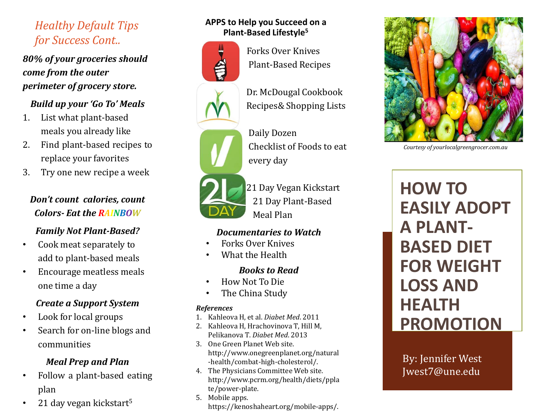# *Healthy Default Tips for Success Cont..*

*80% of your groceries should come from the outer perimeter of grocery store.*

### *Build up your 'Go To' Meals*

- 1. List what plant-based meals you already like
- 2. Find plant-based recipes to replace your favorites
- 3. Try one new recipe a week

# *Don't count calories, count Colors- Eat the RAINBOW*

### *Family Not Plant-Based?*

- Cook meat separately to add to plant-based meals
- Encourage meatless meals one time a day

### *Create a Support System*

- Look for local groups
- Search for on-line blogs and communities

### *Meal Prep and Plan*

- Follow a plant-based eating plan
- 21 day vegan kickstart<sup>5</sup>

### **APPS to Help you Succeed on a Plant-Based Lifestyle<sup>5</sup>**



Forks Over Knives Plant-Based Recipes

Dr. McDougal Cookbook Recipes& Shopping Lists

Daily Dozen Checklist of Foods to eat every day



21 Day Vegan Kickstart 21 Day Plant-Based Meal Plan

### *Documentaries to Watch*

- Forks Over Knives
- What the Health

### *Books to Read*

- How Not To Die
- The China Study

#### *References*

- 1. Kahleova H, et al. *Diabet Med*. 2011
- 2. Kahleova H, Hrachovinova T, Hill M, Pelikanova T. *Diabet Med*. 2013
- 3. One Green Planet Web site. http://www.onegreenplanet.org/natural -health/combat-high-cholesterol/.
- 4. The Physicians Committee Web site. http://www.pcrm.org/health/diets/ppla te/power-plate.
- 5. Mobile apps. https://kenoshaheart.org/mobile-apps/.



*Courtesy of yourlocalgreengrocer.com.au*

**HOW TO EASILY ADOPT A PLANT-BASED DIET FOR WEIGHT LOSS AND HEALTH PROMOTION**

By: Jennifer West Jwest7@une.edu